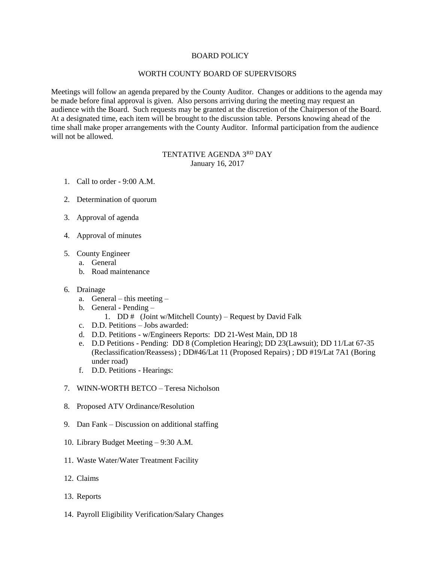### BOARD POLICY

### WORTH COUNTY BOARD OF SUPERVISORS

Meetings will follow an agenda prepared by the County Auditor. Changes or additions to the agenda may be made before final approval is given. Also persons arriving during the meeting may request an audience with the Board. Such requests may be granted at the discretion of the Chairperson of the Board. At a designated time, each item will be brought to the discussion table. Persons knowing ahead of the time shall make proper arrangements with the County Auditor. Informal participation from the audience will not be allowed.

# TENTATIVE AGENDA 3RD DAY January 16, 2017

- 1. Call to order 9:00 A.M.
- 2. Determination of quorum
- 3. Approval of agenda
- 4. Approval of minutes
- 5. County Engineer
	- a. General
	- b. Road maintenance

### 6. Drainage

- a. General this meeting –
- b. General Pending
	- 1. DD  $#$  (Joint w/Mitchell County) Request by David Falk
- c. D.D. Petitions Jobs awarded:
- d. D.D. Petitions w/Engineers Reports: DD 21-West Main, DD 18
- e. D.D Petitions Pending: DD 8 (Completion Hearing); DD 23(Lawsuit); DD 11/Lat 67-35 (Reclassification/Reassess) ; DD#46/Lat 11 (Proposed Repairs) ; DD #19/Lat 7A1 (Boring under road)
- f. D.D. Petitions Hearings:
- 7. WINN-WORTH BETCO Teresa Nicholson
- 8. Proposed ATV Ordinance/Resolution
- 9. Dan Fank Discussion on additional staffing
- 10. Library Budget Meeting 9:30 A.M.
- 11. Waste Water/Water Treatment Facility
- 12. Claims
- 13. Reports
- 14. Payroll Eligibility Verification/Salary Changes